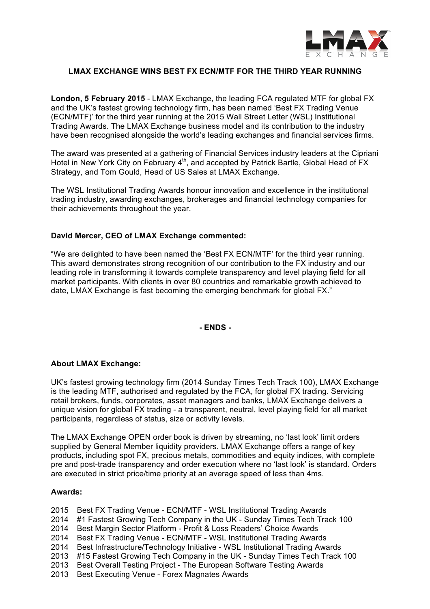

## **LMAX EXCHANGE WINS BEST FX ECN/MTF FOR THE THIRD YEAR RUNNING**

**London, 5 February 2015** - LMAX Exchange, the leading FCA regulated MTF for global FX and the UK's fastest growing technology firm, has been named 'Best FX Trading Venue (ECN/MTF)' for the third year running at the 2015 Wall Street Letter (WSL) Institutional Trading Awards. The LMAX Exchange business model and its contribution to the industry have been recognised alongside the world's leading exchanges and financial services firms.

The award was presented at a gathering of Financial Services industry leaders at the Cipriani Hotel in New York City on February 4<sup>th</sup>, and accepted by Patrick Bartle, Global Head of FX Strategy, and Tom Gould, Head of US Sales at LMAX Exchange.

The WSL Institutional Trading Awards honour innovation and excellence in the institutional trading industry, awarding exchanges, brokerages and financial technology companies for their achievements throughout the year.

## **David Mercer, CEO of LMAX Exchange commented:**

"We are delighted to have been named the 'Best FX ECN/MTF' for the third year running. This award demonstrates strong recognition of our contribution to the FX industry and our leading role in transforming it towards complete transparency and level playing field for all market participants. With clients in over 80 countries and remarkable growth achieved to date, LMAX Exchange is fast becoming the emerging benchmark for global FX."

**- ENDS -**

## **About LMAX Exchange:**

UK's fastest growing technology firm (2014 Sunday Times Tech Track 100), LMAX Exchange is the leading MTF, authorised and regulated by the FCA, for global FX trading. Servicing retail brokers, funds, corporates, asset managers and banks, LMAX Exchange delivers a unique vision for global FX trading - a transparent, neutral, level playing field for all market participants, regardless of status, size or activity levels.

The LMAX Exchange OPEN order book is driven by streaming, no 'last look' limit orders supplied by General Member liquidity providers. LMAX Exchange offers a range of key products, including spot FX, precious metals, commodities and equity indices, with complete pre and post-trade transparency and order execution where no 'last look' is standard. Orders are executed in strict price/time priority at an average speed of less than 4ms.

## **Awards:**

- 2015 Best FX Trading Venue ECN/MTF WSL Institutional Trading Awards
- 2014 #1 Fastest Growing Tech Company in the UK Sunday Times Tech Track 100
- 2014 Best Margin Sector Platform Profit & Loss Readers' Choice Awards
- 2014 Best FX Trading Venue ECN/MTF WSL Institutional Trading Awards
- 2014 Best Infrastructure/Technology Initiative WSL Institutional Trading Awards
- 2013 #15 Fastest Growing Tech Company in the UK Sunday Times Tech Track 100
- 2013 Best Overall Testing Project The European Software Testing Awards
- 2013 Best Executing Venue Forex Magnates Awards